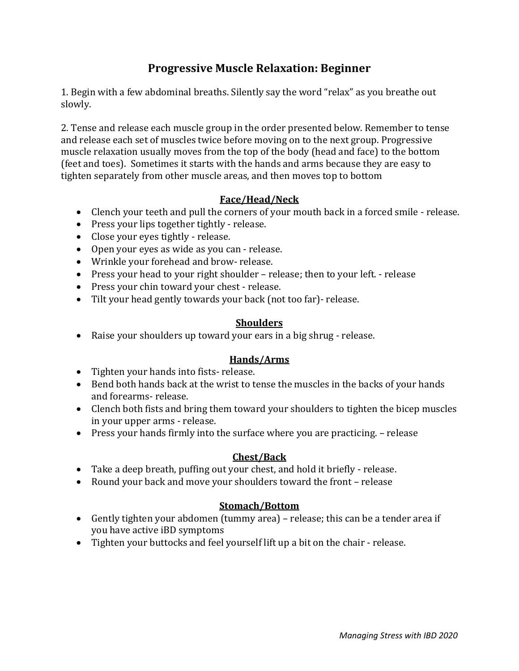# **Progressive Muscle Relaxation: Beginner**

1. Begin with a few abdominal breaths. Silently say the word "relax" as you breathe out slowly.

2. Tense and release each muscle group in the order presented below. Remember to tense and release each set of muscles twice before moving on to the next group. Progressive muscle relaxation usually moves from the top of the body (head and face) to the bottom (feet and toes). Sometimes it starts with the hands and arms because they are easy to tighten separately from other muscle areas, and then moves top to bottom

## **Face/Head/Neck**

- Clench your teeth and pull the corners of your mouth back in a forced smile release.
- Press your lips together tightly release.
- Close your eyes tightly release.
- Open your eyes as wide as you can release.
- Wrinkle your forehead and brow- release.
- Press your head to your right shoulder release; then to your left. release
- Press your chin toward your chest release.
- Tilt your head gently towards your back (not too far)- release.

#### **Shoulders**

Raise your shoulders up toward your ears in a big shrug - release.

## **Hands/Arms**

- Tighten your hands into fists-release.
- Bend both hands back at the wrist to tense the muscles in the backs of your hands and forearms- release.
- Clench both fists and bring them toward your shoulders to tighten the bicep muscles in your upper arms - release.
- Press your hands firmly into the surface where you are practicing. release

## **Chest/Back**

- Take a deep breath, puffing out your chest, and hold it briefly release.
- Round your back and move your shoulders toward the front release

## **Stomach/Bottom**

- Gently tighten your abdomen (tummy area) release; this can be a tender area if you have active iBD symptoms
- Tighten your buttocks and feel yourself lift up a bit on the chair release.